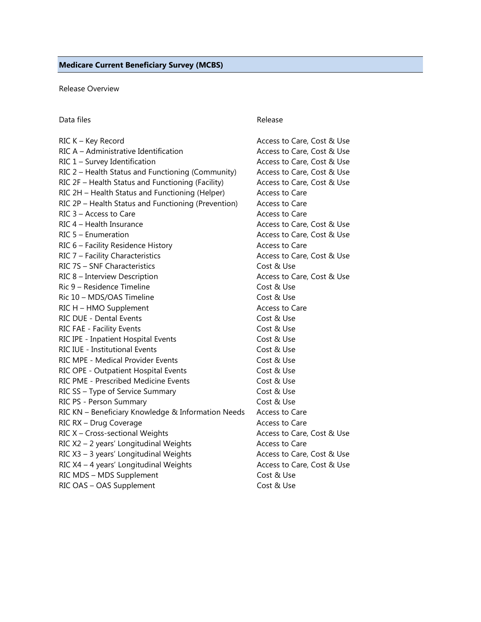Release Overview

#### Data files **Release**

# RIC K – Key Record **Access to Care, Cost & Use** Access to Care, Cost & Use RIC A – Administrative Identification Access to Care, Cost & Use RIC 1 – Survey Identification **Access to Care, Cost & Use** Access to Care, Cost & Use RIC 2 – Health Status and Functioning (Community) Access to Care, Cost & Use RIC 2F – Health Status and Functioning (Facility) Access to Care, Cost & Use RIC 2H – Health Status and Functioning (Helper) Access to Care RIC 2P – Health Status and Functioning (Prevention) Access to Care  $RIC$  3 – Access to Care  $\overline{RIC}$  and  $\overline{RIC}$  are  $\overline{RIC}$  and  $\overline{RIC}$  are  $\overline{RIC}$  are  $\overline{RIC}$  are  $\overline{RIC}$  and  $\overline{RIC}$  are  $\overline{RIC}$  are  $\overline{RIC}$  and  $\overline{RIC}$  are  $\overline{RIC}$  are  $\overline{RIC}$  and  $\overline{RIC}$  are RIC 4 – Health Insurance Access to Care, Cost & Use RIC 5 – Enumeration **Access to Care, Cost & Use** RIC 6 – Facility Residence History **Access to Care** RIC 7 – Facility Characteristics **Access to Care, Cost & Use** Access to Care, Cost & Use RIC 7S – SNF Characteristics Cost & Use RIC 8 – Interview Description **Access to Care, Cost & Use** Access to Care, Cost & Use Ric 9 – Residence Timeline Cost & Use Ric 10 – MDS/OAS Timeline Cost & Use RIC H – HMO Supplement Access to Care RIC DUE - Dental Events Cost & Use RIC FAE - Facility Events Cost & Use RIC IPE - Inpatient Hospital Events Cost & Use RIC IUE - Institutional Events Cost & Use RIC MPE - Medical Provider Events Cost & Use RIC OPE - Outpatient Hospital Events Cost & Use RIC PME - Prescribed Medicine Events Cost & Use RIC SS – Type of Service Summary Cost & Use RIC PS - Person Summary Cost & Use RIC KN – Beneficiary Knowledge & Information Needs Access to Care RIC RX – Drug Coverage Access to Care RIC X – Cross-sectional Weights **Access to Care, Cost & Use** RIC X2 – 2 years' Longitudinal Weights Access to Care RIC X3 – 3 years' Longitudinal Weights Access to Care, Cost & Use RIC X4 – 4 years' Longitudinal Weights Access to Care, Cost & Use RIC MDS – MDS Supplement Cost & Use RIC OAS – OAS Supplement Cost & Use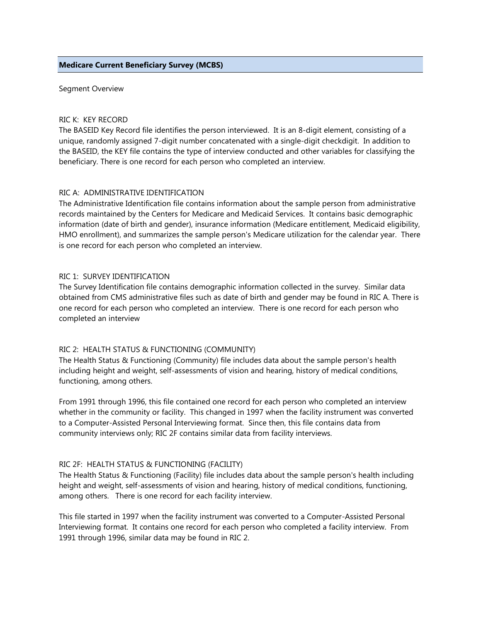#### **Medicare Current Beneficiary Survey (MCBS)**

Segment Overview

#### RIC K: KEY RECORD

The BASEID Key Record file identifies the person interviewed. It is an 8-digit element, consisting of a unique, randomly assigned 7-digit number concatenated with a single-digit checkdigit. In addition to the BASEID, the KEY file contains the type of interview conducted and other variables for classifying the beneficiary. There is one record for each person who completed an interview.

### RIC A: ADMINISTRATIVE IDENTIFICATION

The Administrative Identification file contains information about the sample person from administrative records maintained by the Centers for Medicare and Medicaid Services. It contains basic demographic information (date of birth and gender), insurance information (Medicare entitlement, Medicaid eligibility, HMO enrollment), and summarizes the sample person's Medicare utilization for the calendar year. There is one record for each person who completed an interview.

### RIC 1: SURVEY IDENTIFICATION

The Survey Identification file contains demographic information collected in the survey. Similar data obtained from CMS administrative files such as date of birth and gender may be found in RIC A. There is one record for each person who completed an interview. There is one record for each person who completed an interview

## RIC 2: HEALTH STATUS & FUNCTIONING (COMMUNITY)

The Health Status & Functioning (Community) file includes data about the sample person's health including height and weight, self-assessments of vision and hearing, history of medical conditions, functioning, among others.

From 1991 through 1996, this file contained one record for each person who completed an interview whether in the community or facility. This changed in 1997 when the facility instrument was converted to a Computer-Assisted Personal Interviewing format. Since then, this file contains data from community interviews only; RIC 2F contains similar data from facility interviews.

#### RIC 2F: HEALTH STATUS & FUNCTIONING (FACILITY)

The Health Status & Functioning (Facility) file includes data about the sample person's health including height and weight, self-assessments of vision and hearing, history of medical conditions, functioning, among others. There is one record for each facility interview.

This file started in 1997 when the facility instrument was converted to a Computer-Assisted Personal Interviewing format. It contains one record for each person who completed a facility interview. From 1991 through 1996, similar data may be found in RIC 2.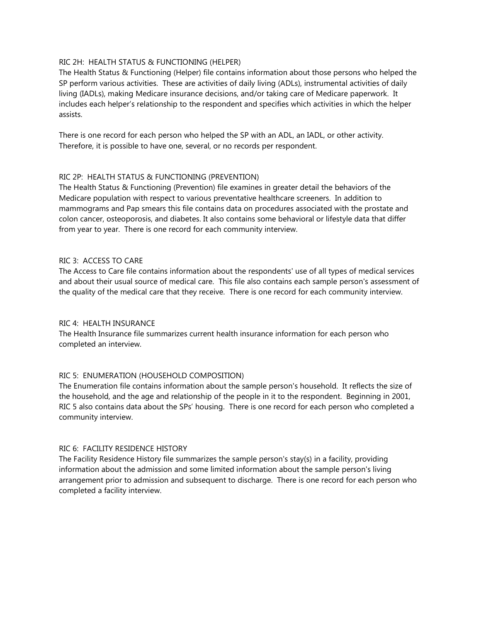### RIC 2H: HEALTH STATUS & FUNCTIONING (HELPER)

The Health Status & Functioning (Helper) file contains information about those persons who helped the SP perform various activities. These are activities of daily living (ADLs), instrumental activities of daily living (IADLs), making Medicare insurance decisions, and/or taking care of Medicare paperwork. It includes each helper's relationship to the respondent and specifies which activities in which the helper assists.

There is one record for each person who helped the SP with an ADL, an IADL, or other activity. Therefore, it is possible to have one, several, or no records per respondent.

## RIC 2P: HEALTH STATUS & FUNCTIONING (PREVENTION)

The Health Status & Functioning (Prevention) file examines in greater detail the behaviors of the Medicare population with respect to various preventative healthcare screeners. In addition to mammograms and Pap smears this file contains data on procedures associated with the prostate and colon cancer, osteoporosis, and diabetes. It also contains some behavioral or lifestyle data that differ from year to year. There is one record for each community interview.

### RIC 3: ACCESS TO CARE

The Access to Care file contains information about the respondents' use of all types of medical services and about their usual source of medical care. This file also contains each sample person's assessment of the quality of the medical care that they receive. There is one record for each community interview.

#### RIC 4: HEALTH INSURANCE

The Health Insurance file summarizes current health insurance information for each person who completed an interview.

## RIC 5: ENUMERATION (HOUSEHOLD COMPOSITION)

The Enumeration file contains information about the sample person's household. It reflects the size of the household, and the age and relationship of the people in it to the respondent. Beginning in 2001, RIC 5 also contains data about the SPs' housing. There is one record for each person who completed a community interview.

#### RIC 6: FACILITY RESIDENCE HISTORY

The Facility Residence History file summarizes the sample person's stay(s) in a facility, providing information about the admission and some limited information about the sample person's living arrangement prior to admission and subsequent to discharge. There is one record for each person who completed a facility interview.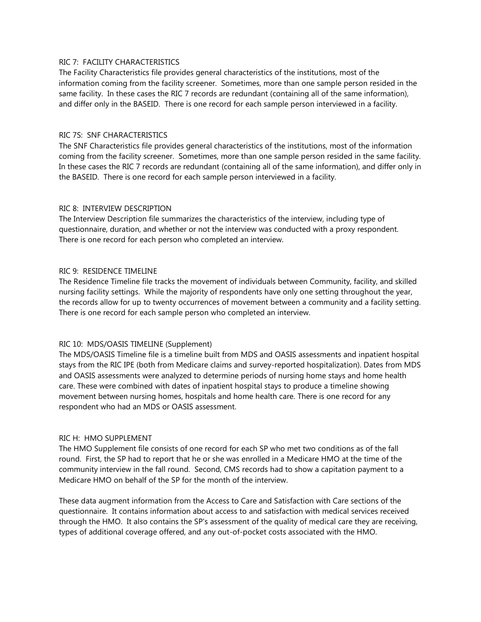### RIC 7: FACILITY CHARACTERISTICS

The Facility Characteristics file provides general characteristics of the institutions, most of the information coming from the facility screener. Sometimes, more than one sample person resided in the same facility. In these cases the RIC 7 records are redundant (containing all of the same information), and differ only in the BASEID. There is one record for each sample person interviewed in a facility.

### RIC 7S: SNF CHARACTERISTICS

The SNF Characteristics file provides general characteristics of the institutions, most of the information coming from the facility screener. Sometimes, more than one sample person resided in the same facility. In these cases the RIC 7 records are redundant (containing all of the same information), and differ only in the BASEID. There is one record for each sample person interviewed in a facility.

### RIC 8: INTERVIEW DESCRIPTION

The Interview Description file summarizes the characteristics of the interview, including type of questionnaire, duration, and whether or not the interview was conducted with a proxy respondent. There is one record for each person who completed an interview.

### RIC 9: RESIDENCE TIMELINE

The Residence Timeline file tracks the movement of individuals between Community, facility, and skilled nursing facility settings. While the majority of respondents have only one setting throughout the year, the records allow for up to twenty occurrences of movement between a community and a facility setting. There is one record for each sample person who completed an interview.

#### RIC 10: MDS/OASIS TIMELINE (Supplement)

The MDS/OASIS Timeline file is a timeline built from MDS and OASIS assessments and inpatient hospital stays from the RIC IPE (both from Medicare claims and survey-reported hospitalization). Dates from MDS and OASIS assessments were analyzed to determine periods of nursing home stays and home health care. These were combined with dates of inpatient hospital stays to produce a timeline showing movement between nursing homes, hospitals and home health care. There is one record for any respondent who had an MDS or OASIS assessment.

#### RIC H: HMO SUPPLEMENT

The HMO Supplement file consists of one record for each SP who met two conditions as of the fall round. First, the SP had to report that he or she was enrolled in a Medicare HMO at the time of the community interview in the fall round. Second, CMS records had to show a capitation payment to a Medicare HMO on behalf of the SP for the month of the interview.

These data augment information from the Access to Care and Satisfaction with Care sections of the questionnaire. It contains information about access to and satisfaction with medical services received through the HMO. It also contains the SP's assessment of the quality of medical care they are receiving, types of additional coverage offered, and any out-of-pocket costs associated with the HMO.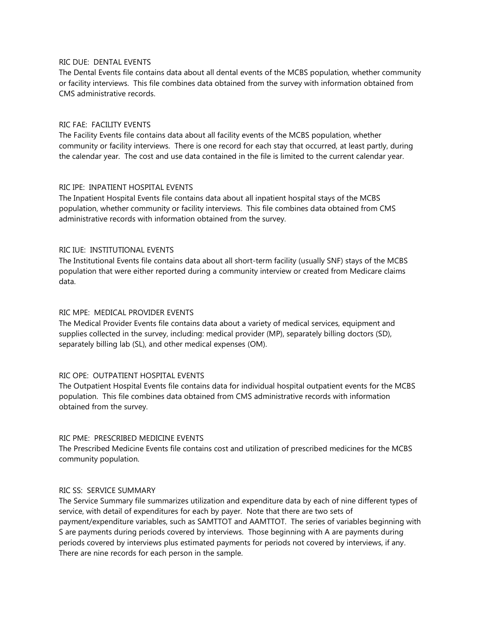#### RIC DUE: DENTAL EVENTS

The Dental Events file contains data about all dental events of the MCBS population, whether community or facility interviews. This file combines data obtained from the survey with information obtained from CMS administrative records.

### RIC FAE: FACILITY EVENTS

The Facility Events file contains data about all facility events of the MCBS population, whether community or facility interviews. There is one record for each stay that occurred, at least partly, during the calendar year. The cost and use data contained in the file is limited to the current calendar year.

### RIC IPE: INPATIENT HOSPITAL EVENTS

The Inpatient Hospital Events file contains data about all inpatient hospital stays of the MCBS population, whether community or facility interviews. This file combines data obtained from CMS administrative records with information obtained from the survey.

### RIC IUE: INSTITUTIONAL EVENTS

The Institutional Events file contains data about all short-term facility (usually SNF) stays of the MCBS population that were either reported during a community interview or created from Medicare claims data.

### RIC MPE: MEDICAL PROVIDER EVENTS

The Medical Provider Events file contains data about a variety of medical services, equipment and supplies collected in the survey, including: medical provider (MP), separately billing doctors (SD), separately billing lab (SL), and other medical expenses (OM).

## RIC OPE: OUTPATIENT HOSPITAL EVENTS

The Outpatient Hospital Events file contains data for individual hospital outpatient events for the MCBS population. This file combines data obtained from CMS administrative records with information obtained from the survey.

## RIC PME: PRESCRIBED MEDICINE EVENTS

The Prescribed Medicine Events file contains cost and utilization of prescribed medicines for the MCBS community population.

#### RIC SS: SERVICE SUMMARY

The Service Summary file summarizes utilization and expenditure data by each of nine different types of service, with detail of expenditures for each by payer. Note that there are two sets of payment/expenditure variables, such as SAMTTOT and AAMTTOT. The series of variables beginning with S are payments during periods covered by interviews. Those beginning with A are payments during periods covered by interviews plus estimated payments for periods not covered by interviews, if any. There are nine records for each person in the sample.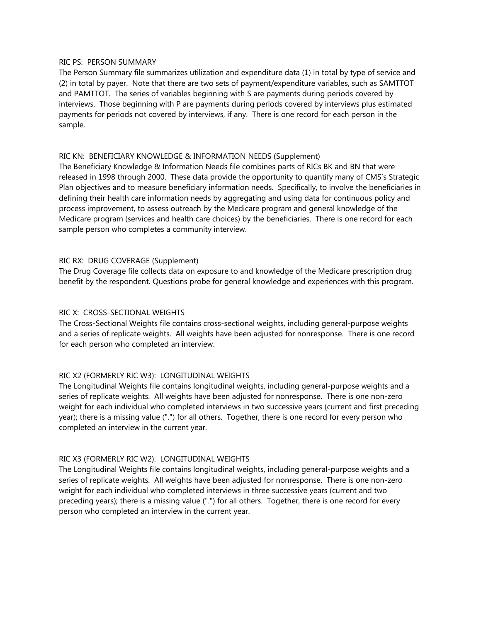### RIC PS: PERSON SUMMARY

The Person Summary file summarizes utilization and expenditure data (1) in total by type of service and (2) in total by payer. Note that there are two sets of payment/expenditure variables, such as SAMTTOT and PAMTTOT. The series of variables beginning with S are payments during periods covered by interviews. Those beginning with P are payments during periods covered by interviews plus estimated payments for periods not covered by interviews, if any. There is one record for each person in the sample.

### RIC KN: BENEFICIARY KNOWLEDGE & INFORMATION NEEDS (Supplement)

The Beneficiary Knowledge & Information Needs file combines parts of RICs BK and BN that were released in 1998 through 2000. These data provide the opportunity to quantify many of CMS's Strategic Plan objectives and to measure beneficiary information needs. Specifically, to involve the beneficiaries in defining their health care information needs by aggregating and using data for continuous policy and process improvement, to assess outreach by the Medicare program and general knowledge of the Medicare program (services and health care choices) by the beneficiaries. There is one record for each sample person who completes a community interview.

## RIC RX: DRUG COVERAGE (Supplement)

The Drug Coverage file collects data on exposure to and knowledge of the Medicare prescription drug benefit by the respondent. Questions probe for general knowledge and experiences with this program.

### RIC X: CROSS-SECTIONAL WEIGHTS

The Cross-Sectional Weights file contains cross-sectional weights, including general-purpose weights and a series of replicate weights. All weights have been adjusted for nonresponse. There is one record for each person who completed an interview.

## RIC X2 (FORMERLY RIC W3): LONGITUDINAL WEIGHTS

The Longitudinal Weights file contains longitudinal weights, including general-purpose weights and a series of replicate weights. All weights have been adjusted for nonresponse. There is one non-zero weight for each individual who completed interviews in two successive years (current and first preceding year); there is a missing value (".") for all others. Together, there is one record for every person who completed an interview in the current year.

## RIC X3 (FORMERLY RIC W2): LONGITUDINAL WEIGHTS

The Longitudinal Weights file contains longitudinal weights, including general-purpose weights and a series of replicate weights. All weights have been adjusted for nonresponse. There is one non-zero weight for each individual who completed interviews in three successive years (current and two preceding years); there is a missing value (".") for all others. Together, there is one record for every person who completed an interview in the current year.